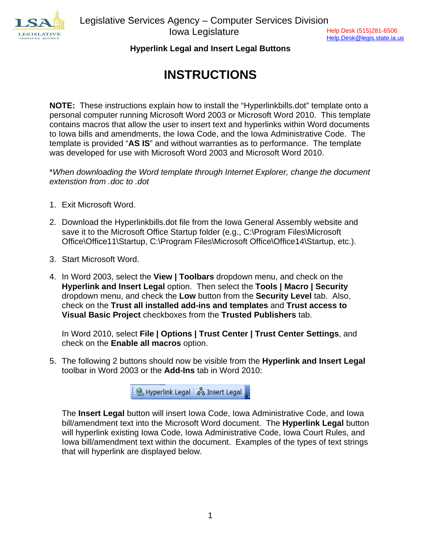

Help.Desk@legis.state.ia.us

## **Hyperlink Legal and Insert Legal Buttons**

# **INSTRUCTIONS**

**NOTE:** These instructions explain how to install the "Hyperlinkbills.dot" template onto a personal computer running Microsoft Word 2003 or Microsoft Word 2010. This template contains macros that allow the user to insert text and hyperlinks within Word documents to Iowa bills and amendments, the Iowa Code, and the Iowa Administrative Code. The template is provided "**AS IS**" and without warranties as to performance. The template was developed for use with Microsoft Word 2003 and Microsoft Word 2010.

\**When downloading the Word template through Internet Explorer, change the document extenstion from .doc to .dot* 

- 1. Exit Microsoft Word.
- 2. Download the Hyperlinkbills.dot file from the Iowa General Assembly website and save it to the Microsoft Office Startup folder (e.g., C:\Program Files\Microsoft Office\Office11\Startup, C:\Program Files\Microsoft Office\Office14\Startup, etc.).
- 3. Start Microsoft Word.
- 4. In Word 2003, select the **View | Toolbars** dropdown menu, and check on the **Hyperlink and Insert Legal** option. Then select the **Tools | Macro | Security** dropdown menu, and check the **Low** button from the **Security Level** tab. Also, check on the **Trust all installed add-ins and templates** and **Trust access to Visual Basic Project** checkboxes from the **Trusted Publishers** tab.

In Word 2010, select **File | Options | Trust Center | Trust Center Settings**, and check on the **Enable all macros** option.

5. The following 2 buttons should now be visible from the **Hyperlink and Insert Legal** toolbar in Word 2003 or the **Add-Ins** tab in Word 2010:

<u>့် ၆</u> Hyperlink Legal | <sub>စ</sub>ီန္ Insert Legal |

The **Insert Legal** button will insert Iowa Code, Iowa Administrative Code, and Iowa bill/amendment text into the Microsoft Word document. The **Hyperlink Legal** button will hyperlink existing Iowa Code, Iowa Administrative Code, Iowa Court Rules, and Iowa bill/amendment text within the document. Examples of the types of text strings that will hyperlink are displayed below.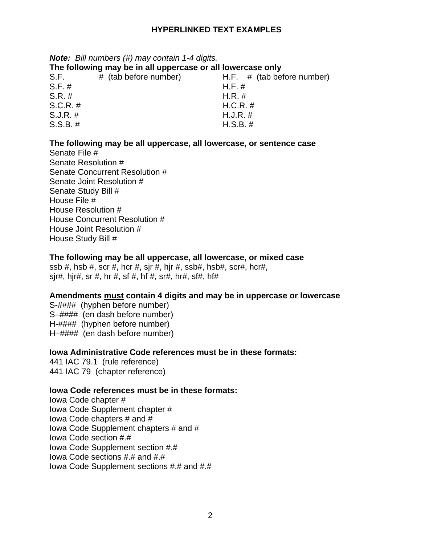## **HYPERLINKED TEXT EXAMPLES**

# *Note: Bill numbers (#) may contain 1-4 digits.*

## **The following may be in all uppercase or all lowercase only**

| S.F.        | # (tab before number) | H.F. $#$ (tab before number) |
|-------------|-----------------------|------------------------------|
| S.F. #      |                       | $H.F. \#$                    |
| $S.R. \#$   |                       | $H.R. \#$                    |
| $S.C.R.$ #  |                       | $H.C.R. \#$                  |
| $S.J.R. \#$ |                       | $H.J.R. \#$                  |
| $S.S.B. \#$ |                       | $H.S.B.$ #                   |

### **The following may be all uppercase, all lowercase, or sentence case**

Senate File # Senate Resolution # Senate Concurrent Resolution # Senate Joint Resolution # Senate Study Bill # House File # House Resolution # House Concurrent Resolution # House Joint Resolution # House Study Bill #

#### **The following may be all uppercase, all lowercase, or mixed case**

ssb #, hsb #, scr #, hcr #, sjr #, hjr #, ssb#, hsb#, scr#, hcr#, sjr#, hjr#, sr #, hr #, sf #, hf #, sr#, hr#, sf#, hf#

#### **Amendments must contain 4 digits and may be in uppercase or lowercase**

S-#### (hyphen before number) S–#### (en dash before number) H-#### (hyphen before number) H–#### (en dash before number)

#### **Iowa Administrative Code references must be in these formats:**

441 IAC 79.1 (rule reference) 441 IAC 79 (chapter reference)

#### **Iowa Code references must be in these formats:**

Iowa Code chapter # Iowa Code Supplement chapter # Iowa Code chapters # and # Iowa Code Supplement chapters # and # Iowa Code section #.# Iowa Code Supplement section #.# Iowa Code sections #.# and #.# Iowa Code Supplement sections #.# and #.#